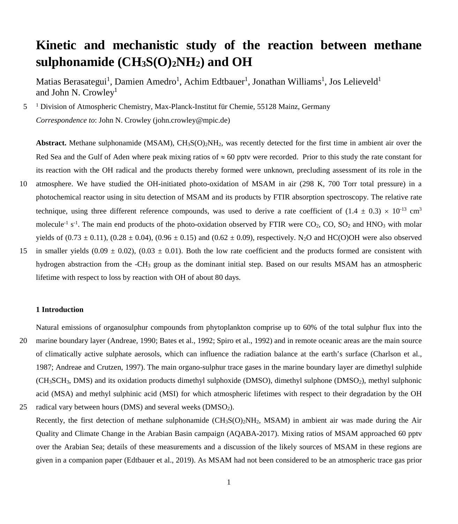# **Kinetic and mechanistic study of the reaction between methane sulphonamide (CH3S(O)2NH2) and OH**

Matias Berasategui<sup>1</sup>, Damien Amedro<sup>1</sup>, Achim Edtbauer<sup>1</sup>, Jonathan Williams<sup>1</sup>, Jos Lelieveld<sup>1</sup> and John N. Crowley<sup>1</sup>

5 <sup>1</sup> Division of Atmospheric Chemistry, Max-Planck-Institut für Chemie, 55128 Mainz, Germany *Correspondence to*: John N. Crowley (john.crowley@mpic.de)

**Abstract.** Methane sulphonamide (MSAM),  $CH_3S(O)_2NH_2$ , was recently detected for the first time in ambient air over the Red Sea and the Gulf of Aden where peak mixing ratios of  $\approx 60$  pptv were recorded. Prior to this study the rate constant for its reaction with the OH radical and the products thereby formed were unknown, precluding assessment of its role in the 10 atmosphere. We have studied the OH-initiated photo-oxidation of MSAM in air (298 K, 700 Torr total pressure) in a photochemical reactor using in situ detection of MSAM and its products by FTIR absorption spectroscopy. The relative rate technique, using three different reference compounds, was used to derive a rate coefficient of  $(1.4 \pm 0.3) \times 10^{-13}$  cm<sup>3</sup> molecule<sup>-1</sup> s<sup>-1</sup>. The main end products of the photo-oxidation observed by FTIR were  $CO_2$ ,  $CO$ ,  $SO_2$  and HNO<sub>3</sub> with molar

yields of  $(0.73 \pm 0.11)$ ,  $(0.28 \pm 0.04)$ ,  $(0.96 \pm 0.15)$  and  $(0.62 \pm 0.09)$ , respectively. N<sub>2</sub>O and HC(O)OH were also observed 15 in smaller yields (0.09  $\pm$  0.02), (0.03  $\pm$  0.01). Both the low rate coefficient and the products formed are consistent with hydrogen abstraction from the -CH<sub>3</sub> group as the dominant initial step. Based on our results MSAM has an atmospheric lifetime with respect to loss by reaction with OH of about 80 days.

## **1 Introduction**

Natural emissions of organosulphur compounds from phytoplankton comprise up to 60% of the total sulphur flux into the

- 20 marine boundary layer (Andreae, 1990; Bates et al., 1992; Spiro et al., 1992) and in remote oceanic areas are the main source of climatically active sulphate aerosols, which can influence the radiation balance at the earth's surface (Charlson et al., 1987; Andreae and Crutzen, 1997). The main organo-sulphur trace gases in the marine boundary layer are dimethyl sulphide (CH3SCH3, DMS) and its oxidation products dimethyl sulphoxide (DMSO), dimethyl sulphone (DMSO2), methyl sulphonic acid (MSA) and methyl sulphinic acid (MSI) for which atmospheric lifetimes with respect to their degradation by the OH
- 25 radical vary between hours (DMS) and several weeks (DMSO<sub>2</sub>).

Recently, the first detection of methane sulphonamide  $(CH<sub>3</sub>S(O)<sub>2</sub>NH<sub>2</sub>$ , MSAM) in ambient air was made during the Air Quality and Climate Change in the Arabian Basin campaign (AQABA-2017). Mixing ratios of MSAM approached 60 pptv over the Arabian Sea; details of these measurements and a discussion of the likely sources of MSAM in these regions are given in a companion paper (Edtbauer et al., 2019). As MSAM had not been considered to be an atmospheric trace gas prior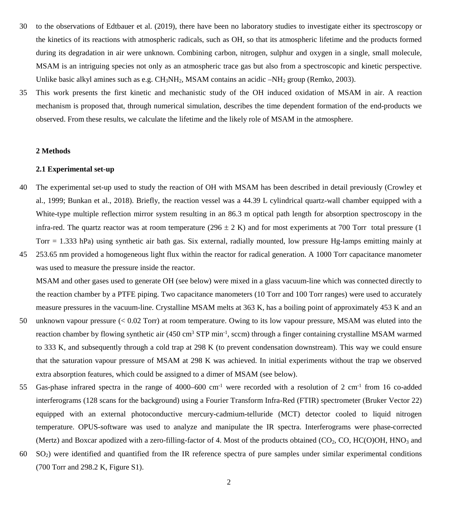- 30 to the observations of Edtbauer et al. (2019), there have been no laboratory studies to investigate either its spectroscopy or the kinetics of its reactions with atmospheric radicals, such as OH, so that its atmospheric lifetime and the products formed during its degradation in air were unknown. Combining carbon, nitrogen, sulphur and oxygen in a single, small molecule, MSAM is an intriguing species not only as an atmospheric trace gas but also from a spectroscopic and kinetic perspective. Unlike basic alkyl amines such as e.g.  $CH_3NH_2$ , MSAM contains an acidic  $-NH_2$  group (Remko, 2003).
- 35 This work presents the first kinetic and mechanistic study of the OH induced oxidation of MSAM in air. A reaction mechanism is proposed that, through numerical simulation, describes the time dependent formation of the end-products we observed. From these results, we calculate the lifetime and the likely role of MSAM in the atmosphere.

#### **2 Methods**

#### **2.1 Experimental set-up**

- 40 The experimental set-up used to study the reaction of OH with MSAM has been described in detail previously (Crowley et al., 1999; Bunkan et al., 2018). Briefly, the reaction vessel was a 44.39 L cylindrical quartz-wall chamber equipped with a White-type multiple reflection mirror system resulting in an 86.3 m optical path length for absorption spectroscopy in the infra-red. The quartz reactor was at room temperature (296  $\pm$  2 K) and for most experiments at 700 Torr total pressure (1) Torr = 1.333 hPa) using synthetic air bath gas. Six external, radially mounted, low pressure Hg-lamps emitting mainly at
- 45 253.65 nm provided a homogeneous light flux within the reactor for radical generation. A 1000 Torr capacitance manometer was used to measure the pressure inside the reactor.

MSAM and other gases used to generate OH (see below) were mixed in a glass vacuum-line which was connected directly to the reaction chamber by a PTFE piping. Two capacitance manometers (10 Torr and 100 Torr ranges) were used to accurately measure pressures in the vacuum-line. Crystalline MSAM melts at 363 K, has a boiling point of approximately 453 K and an

- 50 unknown vapour pressure (< 0.02 Torr) at room temperature. Owing to its low vapour pressure, MSAM was eluted into the reaction chamber by flowing synthetic air  $(450 \text{ cm}^3 \text{ STP min}^{-1}, \text{sccm})$  through a finger containing crystalline MSAM warmed to 333 K, and subsequently through a cold trap at 298 K (to prevent condensation downstream). This way we could ensure that the saturation vapour pressure of MSAM at 298 K was achieved. In initial experiments without the trap we observed extra absorption features, which could be assigned to a dimer of MSAM (see below).
- 55 Gas-phase infrared spectra in the range of 4000–600 cm<sup>-1</sup> were recorded with a resolution of 2 cm<sup>-1</sup> from 16 co-added interferograms (128 scans for the background) using a Fourier Transform Infra-Red (FTIR) spectrometer (Bruker Vector 22) equipped with an external photoconductive mercury-cadmium-telluride (MCT) detector cooled to liquid nitrogen temperature. OPUS-software was used to analyze and manipulate the IR spectra. Interferograms were phase-corrected (Mertz) and Boxcar apodized with a zero-filling-factor of 4. Most of the products obtained  $(CO<sub>2</sub>, CO, HC(O)OH, HNO<sub>3</sub>$  and
- $60\quad$  SO<sub>2</sub>) were identified and quantified from the IR reference spectra of pure samples under similar experimental conditions (700 Torr and 298.2 K, Figure S1).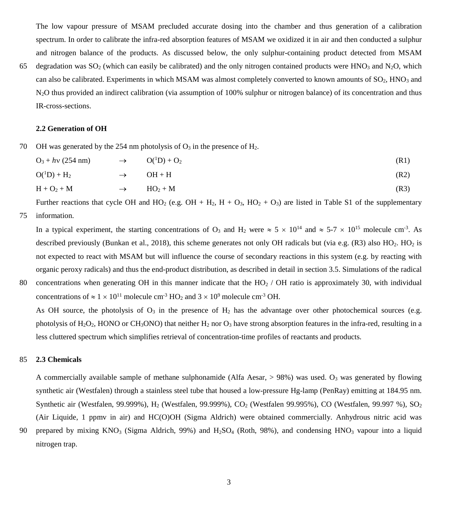The low vapour pressure of MSAM precluded accurate dosing into the chamber and thus generation of a calibration spectrum. In order to calibrate the infra-red absorption features of MSAM we oxidized it in air and then conducted a sulphur and nitrogen balance of the products. As discussed below, the only sulphur-containing product detected from MSAM

65 degradation was  $SO_2$  (which can easily be calibrated) and the only nitrogen contained products were HNO<sub>3</sub> and N<sub>2</sub>O, which can also be calibrated. Experiments in which MSAM was almost completely converted to known amounts of SO<sub>2</sub>, HNO<sub>3</sub> and N2O thus provided an indirect calibration (via assumption of 100% sulphur or nitrogen balance) of its concentration and thus IR-cross-sections.

## **2.2 Generation of OH**

70 OH was generated by the 254 nm photolysis of  $O_3$  in the presence of  $H_2$ .

| $O_3 + h\nu$ (254 nm) | $\rightarrow$ | $O(^1D) + O_2$ | (R1) |
|-----------------------|---------------|----------------|------|
| $O(^1D) + H_2$        | $\rightarrow$ | $OH + H$       | (R2) |
| $H + O2 + M$          | $\rightarrow$ | $HO2 + M$      | (R3) |

Further reactions that cycle OH and HO<sub>2</sub> (e.g. OH + H<sub>2</sub>, H + O<sub>3</sub>, HO<sub>2</sub> + O<sub>3</sub>) are listed in Table S1 of the supplementary 75 information.

In a typical experiment, the starting concentrations of O<sub>3</sub> and H<sub>2</sub> were  $\approx 5 \times 10^{14}$  and  $\approx 5{\text -}7 \times 10^{15}$  molecule cm<sup>-3</sup>. As described previously (Bunkan et al., 2018), this scheme generates not only OH radicals but (via e.g.  $(R3)$  also HO<sub>2</sub>. HO<sub>2</sub> is not expected to react with MSAM but will influence the course of secondary reactions in this system (e.g. by reacting with organic peroxy radicals) and thus the end-product distribution, as described in detail in section 3.5. Simulations of the radical

80 concentrations when generating OH in this manner indicate that the  $HO_2 / OH$  ratio is approximately 30, with individual concentrations of  $\approx 1 \times 10^{11}$  molecule cm<sup>-3</sup> HO<sub>2</sub> and  $3 \times 10^9$  molecule cm<sup>-3</sup> OH.

As OH source, the photolysis of  $O_3$  in the presence of  $H_2$  has the advantage over other photochemical sources (e.g. photolysis of H<sub>2</sub>O<sub>2</sub>, HONO or CH<sub>3</sub>ONO) that neither H<sub>2</sub> nor O<sub>3</sub> have strong absorption features in the infra-red, resulting in a less cluttered spectrum which simplifies retrieval of concentration-time profiles of reactants and products.

# 85 **2.3 Chemicals**

A commercially available sample of methane sulphonamide (Alfa Aesar,  $> 98\%$ ) was used. O<sub>3</sub> was generated by flowing synthetic air (Westfalen) through a stainless steel tube that housed a low-pressure Hg-lamp (PenRay) emitting at 184.95 nm. Synthetic air (Westfalen, 99.999%), H<sub>2</sub> (Westfalen, 99.999%), CO<sub>2</sub> (Westfalen 99.995%), CO (Westfalen, 99.997 %), SO<sub>2</sub> (Air Liquide, 1 ppmv in air) and HC(O)OH (Sigma Aldrich) were obtained commercially. Anhydrous nitric acid was

90 prepared by mixing  $KNO_3$  (Sigma Aldrich, 99%) and  $H_2SO_4$  (Roth, 98%), and condensing  $HNO_3$  vapour into a liquid nitrogen trap.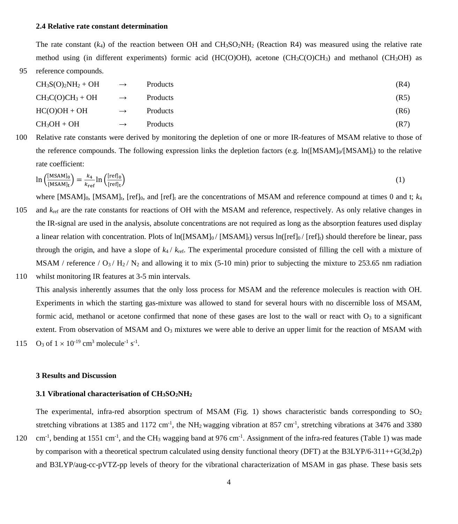#### **2.4 Relative rate constant determination**

The rate constant  $(k_4)$  of the reaction between OH and CH<sub>3</sub>SO<sub>2</sub>NH<sub>2</sub> (Reaction R4) was measured using the relative rate method using (in different experiments) formic acid (HC(O)OH), acetone (CH<sub>3</sub>C(O)CH<sub>3</sub>) and methanol (CH<sub>3</sub>OH) as 95 reference compounds.

| $CH3S(O)2NH2 + OH$  | $\longrightarrow$ | Products        | (R4) |
|---------------------|-------------------|-----------------|------|
| $CH_3C(O)CH_3 + OH$ | $\rightarrow$     | <b>Products</b> | (R5) |
| $HC(O)OH + OH$      | $\rightarrow$     | Products        | (R6) |
| $CH3OH + OH$        | $\rightarrow$     | Products        | (R7) |

100 Relative rate constants were derived by monitoring the depletion of one or more IR-features of MSAM relative to those of the reference compounds. The following expression links the depletion factors (e.g.  $\ln([\text{MSAM}]_0/[\text{MSAM}]_t$ ) to the relative rate coefficient:

$$
\ln\left(\frac{[MSAM]_0}{[MSAM]_t}\right) = \frac{k_4}{k_{\text{ref}}} \ln\left(\frac{[\text{ref}]_0}{[\text{ref}]_t}\right) \tag{1}
$$

- where  $[MSAM]_0$ ,  $[MSAM]_t$ ,  $[ref]_0$ , and  $[ref]_t$  are the concentrations of MSAM and reference compound at times 0 and t;  $k_4$ 105 and *k*ref are the rate constants for reactions of OH with the MSAM and reference, respectively. As only relative changes in the IR-signal are used in the analysis, absolute concentrations are not required as long as the absorption features used display a linear relation with concentration. Plots of  $\ln([MSAM]_0 / [MSAM]_t)$  versus  $\ln([ref]_0 / [ref]_t)$  should therefore be linear, pass through the origin, and have a slope of *k*<sup>4</sup> / *k*ref. The experimental procedure consisted of filling the cell with a mixture of MSAM / reference /  $O_3$  /  $H_2$  /  $N_2$  and allowing it to mix (5-10 min) prior to subjecting the mixture to 253.65 nm radiation 110 whilst monitoring IR features at 3-5 min intervals.
- This analysis inherently assumes that the only loss process for MSAM and the reference molecules is reaction with OH. Experiments in which the starting gas-mixture was allowed to stand for several hours with no discernible loss of MSAM, formic acid, methanol or acetone confirmed that none of these gases are lost to the wall or react with  $O_3$  to a significant extent. From observation of MSAM and O<sub>3</sub> mixtures we were able to derive an upper limit for the reaction of MSAM with 115 O<sub>3</sub> of  $1 \times 10^{-19}$  cm<sup>3</sup> molecule<sup>-1</sup> s<sup>-1</sup>.

#### **3 Results and Discussion**

## **3.1 Vibrational characterisation of CH3SO2NH2**

The experimental, infra-red absorption spectrum of MSAM (Fig. 1) shows characteristic bands corresponding to  $SO_2$ stretching vibrations at 1385 and 1172 cm<sup>-1</sup>, the NH<sub>2</sub> wagging vibration at 857 cm<sup>-1</sup>, stretching vibrations at 3476 and 3380

120  $\text{cm}^{-1}$ , bending at 1551 cm<sup>-1</sup>, and the CH<sub>3</sub> wagging band at 976 cm<sup>-1</sup>. Assignment of the infra-red features (Table 1) was made by comparison with a theoretical spectrum calculated using density functional theory (DFT) at the B3LYP/6-311++G(3d,2p) and B3LYP/aug-cc-pVTZ-pp levels of theory for the vibrational characterization of MSAM in gas phase. These basis sets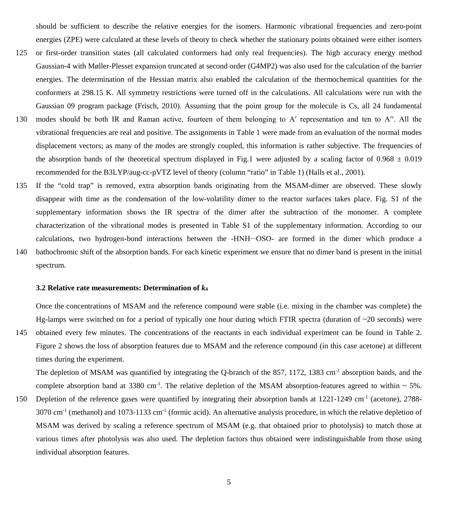should be sufficient to describe the relative energies for the isomers. Harmonic vibrational frequencies and zero-point energies (ZPE) were calculated at these levels of theory to check whether the stationary points obtained were either isomers

- 125 or first-order transition states (all calculated conformers had only real frequencies). The high accuracy energy method Gaussian-4 with Møller-Plesset expansion truncated at second order (G4MP2) was also used for the calculation of the barrier energies. The determination of the Hessian matrix also enabled the calculation of the thermochemical quantities for the conformers at 298.15 K. All symmetry restrictions were turned off in the calculations. All calculations were run with the Gaussian 09 program package (Frisch, 2010). Assuming that the point group for the molecule is Cs, all 24 fundamental
- 130 modes should be both IR and Raman active, fourteen of them belonging to A' representation and ten to A''. All the vibrational frequencies are real and positive. The assignments in Table 1 were made from an evaluation of the normal modes displacement vectors; as many of the modes are strongly coupled, this information is rather subjective. The frequencies of the absorption bands of the theoretical spectrum displayed in Fig.1 were adjusted by a scaling factor of  $0.968 \pm 0.019$ recommended for the B3LYP/aug-cc-pVTZ level of theory (column "ratio" in Table 1) (Halls et al., 2001).
- 135 If the "cold trap" is removed, extra absorption bands originating from the MSAM-dimer are observed. These slowly disappear with time as the condensation of the low-volatility dimer to the reactor surfaces takes place. Fig. S1 of the supplementary information shows the IR spectra of the dimer after the subtraction of the monomer. A complete characterization of the vibrational modes is presented in Table S1 of the supplementary information. According to our calculations, two hydrogen-bond interactions between the -HNH∙∙∙OSO- are formed in the dimer which produce a
- 140 bathochromic shift of the absorption bands. For each kinetic experiment we ensure that no dimer band is present in the initial spectrum.

## **3.2 Relative rate measurements: Determination of** *k***<sup>4</sup>**

Once the concentrations of MSAM and the reference compound were stable (i.e. mixing in the chamber was complete) the Hg-lamps were switched on for a period of typically one hour during which FTIR spectra (duration of  $\sim$ 20 seconds) were 145 obtained every few minutes. The concentrations of the reactants in each individual experiment can be found in Table 2. Figure 2 shows the loss of absorption features due to MSAM and the reference compound (in this case acetone) at different times during the experiment.

The depletion of MSAM was quantified by integrating the Q-branch of the 857, 1172, 1383 cm<sup>-1</sup> absorption bands, and the complete absorption band at 3380 cm<sup>-1</sup>. The relative depletion of the MSAM absorption-features agreed to within  $\sim$  5%.

150 Depletion of the reference gases were quantified by integrating their absorption bands at  $1221-1249$  cm<sup>-1</sup> (acetone), 2788- $3070 \text{ cm}^{-1}$  (methanol) and  $1073-1133 \text{ cm}^{-1}$  (formic acid). An alternative analysis procedure, in which the relative depletion of MSAM was derived by scaling a reference spectrum of MSAM (e.g. that obtained prior to photolysis) to match those at various times after photolysis was also used. The depletion factors thus obtained were indistinguishable from those using individual absorption features.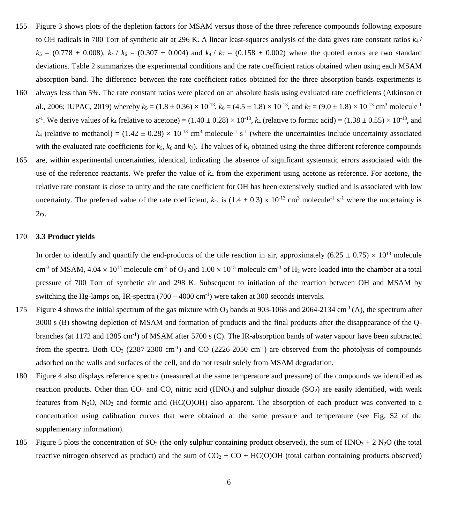- 155 Figure 3 shows plots of the depletion factors for MSAM versus those of the three reference compounds following exposure to OH radicals in 700 Torr of synthetic air at 296 K. A linear least-squares analysis of the data gives rate constant ratios *k*<sup>4</sup> /  $k_5 = (0.778 \pm 0.008)$ ,  $k_4 / k_6 = (0.307 \pm 0.004)$  and  $k_4 / k_7 = (0.158 \pm 0.002)$  where the quoted errors are two standard deviations. Table 2 summarizes the experimental conditions and the rate coefficient ratios obtained when using each MSAM absorption band. The difference between the rate coefficient ratios obtained for the three absorption bands experiments is
- 160 always less than 5%. The rate constant ratios were placed on an absolute basis using evaluated rate coefficients (Atkinson et al., 2006; IUPAC, 2019) whereby  $k_5 = (1.8 \pm 0.36) \times 10^{-13}$ ,  $k_6 = (4.5 \pm 1.8) \times 10^{-13}$ , and  $k_7 = (9.0 \pm 1.8) \times 10^{-13}$  cm<sup>3</sup> molecule<sup>-1</sup> s<sup>-1</sup>. We derive values of  $k_4$  (relative to acetone) =  $(1.40 \pm 0.28) \times 10^{-13}$ ,  $k_4$  (relative to formic acid) =  $(1.38 \pm 0.55) \times 10^{-13}$ , and  $k_4$  (relative to methanol) = (1.42  $\pm$  0.28) × 10<sup>-13</sup> cm<sup>3</sup> molecule<sup>-1</sup> s<sup>-1</sup> (where the uncertainties include uncertainty associated with the evaluated rate coefficients for  $k_5$ ,  $k_6$  and  $k_7$ ). The values of  $k_4$  obtained using the three different reference compounds
- 165 are, within experimental uncertainties, identical, indicating the absence of significant systematic errors associated with the use of the reference reactants. We prefer the value of *k*<sup>4</sup> from the experiment using acetone as reference. For acetone, the relative rate constant is close to unity and the rate coefficient for OH has been extensively studied and is associated with low uncertainty. The preferred value of the rate coefficient,  $k_4$ , is (1.4  $\pm$  0.3) x 10<sup>-13</sup> cm<sup>3</sup> molecule<sup>-1</sup> s<sup>-1</sup> where the uncertainty is 2σ.

## 170 **3.3 Product yields**

In order to identify and quantify the end-products of the title reaction in air, approximately (6.25  $\pm$  0.75)  $\times$  10<sup>13</sup> molecule cm<sup>-3</sup> of MSAM,  $4.04 \times 10^{14}$  molecule cm<sup>-3</sup> of O<sub>3</sub> and  $1.00 \times 10^{15}$  molecule cm<sup>-3</sup> of H<sub>2</sub> were loaded into the chamber at a total pressure of 700 Torr of synthetic air and 298 K. Subsequent to initiation of the reaction between OH and MSAM by switching the Hg-lamps on, IR-spectra  $(700 - 4000 \text{ cm}^{-1})$  were taken at 300 seconds intervals.

- 175 Figure 4 shows the initial spectrum of the gas mixture with  $O_3$  bands at 903-1068 and 2064-2134 cm<sup>-1</sup> (A), the spectrum after 3000 s (B) showing depletion of MSAM and formation of products and the final products after the disappearance of the Qbranches (at 1172 and 1385 cm<sup>-1</sup>) of MSAM after 5700 s (C). The IR-absorption bands of water vapour have been subtracted from the spectra. Both  $CO_2$  (2387-2300 cm<sup>-1</sup>) and  $CO$  (2226-2050 cm<sup>-1</sup>) are observed from the photolysis of compounds adsorbed on the walls and surfaces of the cell, and do not result solely from MSAM degradation.
- 180 Figure 4 also displays reference spectra (measured at the same temperature and pressure) of the compounds we identified as reaction products. Other than  $CO_2$  and  $CO$ , nitric acid (HNO<sub>3</sub>) and sulphur dioxide (SO<sub>2</sub>) are easily identified, with weak features from  $N_2$ O,  $N_2$  and formic acid (HC(O)OH) also apparent. The absorption of each product was converted to a concentration using calibration curves that were obtained at the same pressure and temperature (see Fig. S2 of the supplementary information).
- 185 Figure 5 plots the concentration of SO<sub>2</sub> (the only sulphur containing product observed), the sum of HNO<sub>3</sub> + 2 N<sub>2</sub>O (the total reactive nitrogen observed as product) and the sum of  $CO<sub>2</sub> + CO + HC(O)OH$  (total carbon containing products observed)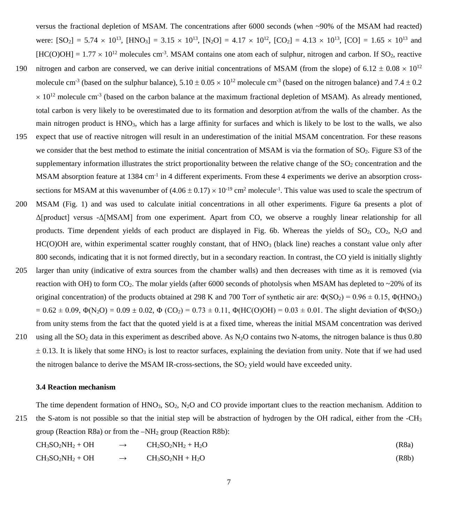versus the fractional depletion of MSAM. The concentrations after 6000 seconds (when ~90% of the MSAM had reacted) were:  $[SO_2] = 5.74 \times 10^{13}$ ,  $[HNO_3] = 3.15 \times 10^{13}$ ,  $[N_2O] = 4.17 \times 10^{12}$ ,  $[CO_2] = 4.13 \times 10^{13}$ ,  $[CO] = 1.65 \times 10^{13}$  and  $[HC(O)OH] = 1.77 \times 10^{12}$  molecules cm<sup>-3</sup>. MSAM contains one atom each of sulphur, nitrogen and carbon. If SO<sub>2</sub>, reactive

- 190 nitrogen and carbon are conserved, we can derive initial concentrations of MSAM (from the slope) of  $6.12 \pm 0.08 \times 10^{12}$ molecule cm<sup>-3</sup> (based on the sulphur balance),  $5.10 \pm 0.05 \times 10^{12}$  molecule cm<sup>-3</sup> (based on the nitrogen balance) and  $7.4 \pm 0.2$  $\times$  10<sup>12</sup> molecule cm<sup>-3</sup> (based on the carbon balance at the maximum fractional depletion of MSAM). As already mentioned, total carbon is very likely to be overestimated due to its formation and desorption at/from the walls of the chamber. As the main nitrogen product is HNO3, which has a large affinity for surfaces and which is likely to be lost to the walls, we also
- 195 expect that use of reactive nitrogen will result in an underestimation of the initial MSAM concentration. For these reasons we consider that the best method to estimate the initial concentration of MSAM is via the formation of SO<sub>2</sub>. Figure S3 of the supplementary information illustrates the strict proportionality between the relative change of the  $SO<sub>2</sub>$  concentration and the MSAM absorption feature at  $1384 \text{ cm}^{-1}$  in 4 different experiments. From these 4 experiments we derive an absorption crosssections for MSAM at this wavenumber of  $(4.06 \pm 0.17) \times 10^{-19}$  cm<sup>2</sup> molecule<sup>-1</sup>. This value was used to scale the spectrum of
- 200 MSAM (Fig. 1) and was used to calculate initial concentrations in all other experiments. Figure 6a presents a plot of Δ[product] versus -Δ[MSAM] from one experiment. Apart from CO, we observe a roughly linear relationship for all products. Time dependent yields of each product are displayed in Fig. 6b. Whereas the yields of  $SO_2$ ,  $CO_2$ ,  $N_2O$  and HC(O)OH are, within experimental scatter roughly constant, that of HNO<sub>3</sub> (black line) reaches a constant value only after 800 seconds, indicating that it is not formed directly, but in a secondary reaction. In contrast, the CO yield is initially slightly
- 205 larger than unity (indicative of extra sources from the chamber walls) and then decreases with time as it is removed (via reaction with OH) to form CO<sub>2</sub>. The molar yields (after 6000 seconds of photolysis when MSAM has depleted to  $\sim$ 20% of its original concentration) of the products obtained at 298 K and 700 Torr of synthetic air are:  $\Phi(SO_2) = 0.96 \pm 0.15$ ,  $\Phi(HNO_3)$  $= 0.62 \pm 0.09$ ,  $\Phi(N_2O) = 0.09 \pm 0.02$ ,  $\Phi (CO_2) = 0.73 \pm 0.11$ ,  $\Phi(HC(O)OH) = 0.03 \pm 0.01$ . The slight deviation of  $\Phi(SO_2)$ from unity stems from the fact that the quoted yield is at a fixed time, whereas the initial MSAM concentration was derived 210 using all the  $SO_2$  data in this experiment as described above. As  $N_2O$  contains two N-atoms, the nitrogen balance is thus 0.80  $\pm$  0.13. It is likely that some HNO<sub>3</sub> is lost to reactor surfaces, explaining the deviation from unity. Note that if we had used

the nitrogen balance to derive the MSAM IR-cross-sections, the SO2 yield would have exceeded unity.

# **3.4 Reaction mechanism**

The time dependent formation of  $HNO<sub>3</sub>$ ,  $SO<sub>2</sub>$ ,  $N<sub>2</sub>O$  and CO provide important clues to the reaction mechanism. Addition to 215 the S-atom is not possible so that the initial step will be abstraction of hydrogen by the OH radical, either from the -CH<sub>3</sub> group (Reaction R8a) or from the  $-NH<sub>2</sub>$  group (Reaction R8b):

$$
CH3SO2NH2 + OH \rightarrow CH2SO2NH2 + H2O (R8a)
$$
\n
$$
CH3SO2NH2 + OH \rightarrow CH3SO2NH + H2O (R8b)
$$

$$
H_3SO_2NH_2+OH \longrightarrow CH_3SO_2NH+H_2O \qquad (R8b)
$$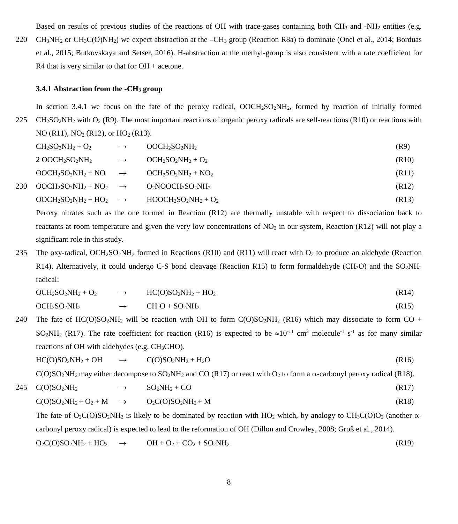Based on results of previous studies of the reactions of OH with trace-gases containing both CH<sub>3</sub> and -NH<sub>2</sub> entities (e.g.

220 CH<sub>3</sub>NH<sub>2</sub> or CH<sub>3</sub>C(O)NH<sub>2</sub>) we expect abstraction at the  $-CH_3$  group (Reaction R8a) to dominate (Onel et al., 2014; Borduas et al., 2015; Butkovskaya and Setser, 2016). H-abstraction at the methyl-group is also consistent with a rate coefficient for R4 that is very similar to that for  $OH +$  acetone.

#### **3.4.1 Abstraction from the -CH<sub>3</sub> group**

In section 3.4.1 we focus on the fate of the peroxy radical,  $OOCH<sub>2</sub>SO<sub>2</sub>NH<sub>2</sub>$ , formed by reaction of initially formed 225 CH<sub>2</sub>SO<sub>2</sub>NH<sub>2</sub> with O<sub>2</sub> (R9). The most important reactions of organic peroxy radicals are self-reactions (R10) or reactions with NO (R11),  $NO<sub>2</sub>$  (R12), or  $HO<sub>2</sub>$  (R13).

| $CH2SO2NH2 + O2$                                      | $OOCH2SO2NH2$     | (R9)  |
|-------------------------------------------------------|-------------------|-------|
| $2$ OOCH <sub>2</sub> SO <sub>2</sub> NH <sub>2</sub> | $OCH2SO2NH2 + O2$ | (R10) |

$$
OOCH2SO2NH2 + NO \rightarrow OCH2SO2NH2 + NO2
$$
\n
$$
OOCH2SO2NH2 + NO2 \rightarrow O2NOOCH2SO2NH2
$$
\n
$$
OOCH2SO2NH2 + HO2 \rightarrow HOOCH2SO2NH2 + O2
$$
\n(R13)

Peroxy nitrates such as the one formed in Reaction (R12) are thermally unstable with respect to dissociation back to reactants at room temperature and given the very low concentrations of  $NO<sub>2</sub>$  in our system, Reaction (R12) will not play a significant role in this study.

235 The oxy-radical, OCH<sub>2</sub>SO<sub>2</sub>NH<sub>2</sub> formed in Reactions (R10) and (R11) will react with O<sub>2</sub> to produce an aldehyde (Reaction R14). Alternatively, it could undergo C-S bond cleavage (Reaction R15) to form formaldehyde (CH<sub>2</sub>O) and the SO<sub>2</sub>NH<sub>2</sub> radical:

$$
OCH2SO2NH2 + O2 \longrightarrow H C(O)SO2NH2 + HO2
$$
 (R14)

 $OCH_2SO_2NH_2 \rightarrow CH_2O + SO_2NH_2$  (R15)

240 The fate of HC(O)SO<sub>2</sub>NH<sub>2</sub> will be reaction with OH to form C(O)SO<sub>2</sub>NH<sub>2</sub> (R16) which may dissociate to form CO + SO<sub>2</sub>NH<sub>2</sub> (R17). The rate coefficient for reaction (R16) is expected to be  $\approx 10^{-11}$  cm<sup>3</sup> molecule<sup>-1</sup> s<sup>-1</sup> as for many similar reactions of OH with aldehydes (e.g. CH<sub>3</sub>CHO).

$$
HC(O)SO2NH2 + OH \rightarrow C(O)SO2NH2 + H2O \tag{R16}
$$

C(O)SO<sub>2</sub>NH<sub>2</sub> may either decompose to SO<sub>2</sub>NH<sub>2</sub> and CO (R17) or react with O<sub>2</sub> to form a  $\alpha$ -carbonyl peroxy radical (R18).

 $C(O)SO_2NH_2 + O_2 + M \rightarrow O_2C(O)SO_2NH_2 + M$  (R18)

 $245 \quad \text{C(O)SO}_2\text{NH}_2 \rightarrow \quad \text{SO}_2\text{NH}_2 + \text{CO}$  (R17)

The fate of  $O_2C(O)SO_2NH_2$  is likely to be dominated by reaction with HO<sub>2</sub> which, by analogy to CH<sub>3</sub>C(O)O<sub>2</sub> (another  $\alpha$ carbonyl peroxy radical) is expected to lead to the reformation of OH (Dillon and Crowley, 2008; Groß et al., 2014).

 $O_2C(O)SO_2NH_2 + HO_2 \rightarrow OH + O_2 + CO_2 + SO_2NH_2$  (R19)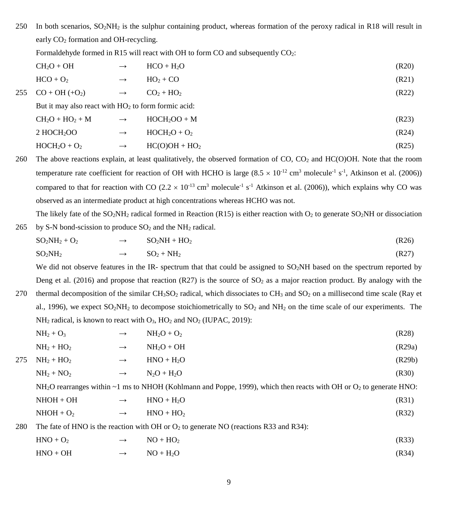250 In both scenarios, SO2NH2 is the sulphur containing product, whereas formation of the peroxy radical in R18 will result in early  $CO<sub>2</sub>$  formation and OH-recycling.

Formaldehyde formed in R15 will react with OH to form CO and subsequently CO2:

| $CH2O + OH$         | $\rightarrow$ | $HCO + H2O$ | (R20) |
|---------------------|---------------|-------------|-------|
| $HCO + O2$          | $\rightarrow$ | $HO_2 + CO$ | (R21) |
| 255 $CO + OH (+O2)$ | $\rightarrow$ | $CO2 + HO2$ | (R22) |
|                     | .             | .           |       |

But it may also react with  $HO<sub>2</sub>$  to form formic acid:

$$
CH2O + HO2 + M \longrightarrow HOCH2OO + M \tag{R23}
$$

$$
2 \text{ HOCH}_2\text{OO} \longrightarrow \text{HOCH}_2\text{O} + \text{O}_2 \tag{R24}
$$

$$
HOCH2O + O2 \longrightarrow HC(O)OH + HO2
$$
\n
$$
(R25)
$$

260 The above reactions explain, at least qualitatively, the observed formation of  $CO$ ,  $CO<sub>2</sub>$  and  $HC(O)OH$ . Note that the room temperature rate coefficient for reaction of OH with HCHO is large  $(8.5 \times 10^{-12} \text{ cm}^3 \text{ molecule}^{-1} \text{ s}^{-1}$ , Atkinson et al. (2006)) compared to that for reaction with CO (2.2  $\times$  10<sup>-13</sup> cm<sup>3</sup> molecule<sup>-1</sup> s<sup>-1</sup> Atkinson et al. (2006)), which explains why CO was observed as an intermediate product at high concentrations whereas HCHO was not.

The likely fate of the  $SO_2NH_2$  radical formed in Reaction (R15) is either reaction with  $O_2$  to generate  $SO_2NH$  or dissociation 265 by S-N bond-scission to produce  $SO_2$  and the NH<sub>2</sub> radical.

$$
SO2NH2 + O2 \rightarrow SO2NH + HO2
$$
\n
$$
SO2NH2 \rightarrow SO2 + NH2
$$
\n(R26)

We did not observe features in the IR- spectrum that that could be assigned to SO<sub>2</sub>NH based on the spectrum reported by Deng et al. (2016) and propose that reaction (R27) is the source of  $SO<sub>2</sub>$  as a major reaction product. By analogy with the

270 thermal decomposition of the similar  $CH_3SO_2$  radical, which dissociates to  $CH_3$  and  $SO_2$  on a millisecond time scale (Ray et al., 1996), we expect SO<sub>2</sub>NH<sub>2</sub> to decompose stoichiometrically to SO<sub>2</sub> and NH<sub>2</sub> on the time scale of our experiments. The  $NH<sub>2</sub>$  radical, is known to react with  $O<sub>3</sub>$ ,  $HO<sub>2</sub>$  and  $NO<sub>2</sub>$  (IUPAC, 2019):

$$
NH2 + O3 \longrightarrow NH2O + O2
$$
 (R28)

$$
NH_2 + HO_2 \longrightarrow NH_2O + OH \tag{R29a}
$$

$$
275 \quad NH_2 + HO_2 \qquad \longrightarrow \qquad HNO + H_2O \tag{R29b}
$$

$$
NH2 + NO2 \longrightarrow N2O + H2O
$$
 (R30)

 $NH<sub>2</sub>O$  rearranges within ~1 ms to NHOH (Kohlmann and Poppe, 1999), which then reacts with OH or O<sub>2</sub> to generate HNO:

$$
NHOH + OH \longrightarrow \qquad HNO + H_2O \tag{R31}
$$

$$
NHOH + O2 \longrightarrow HNO + HO2
$$
 (R32)

280 The fate of HNO is the reaction with OH or  $O_2$  to generate NO (reactions R33 and R34):

$$
HNO + O2 \longrightarrow NO + HO2
$$
 (R33)

$$
HNO + OH \longrightarrow NO + H_2O \tag{R34}
$$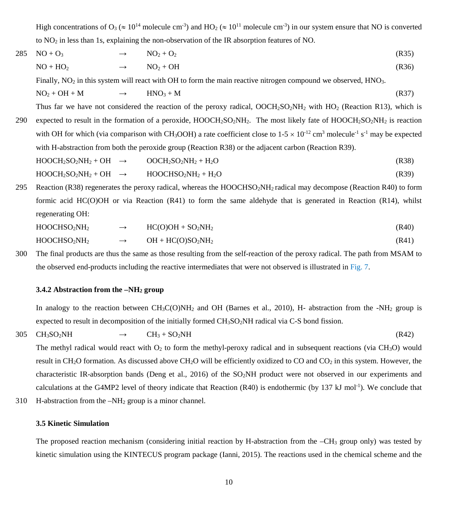High concentrations of  $O_3 \approx 10^{14}$  molecule cm<sup>-3</sup>) and HO<sub>2</sub> ( $\approx 10^{11}$  molecule cm<sup>-3</sup>) in our system ensure that NO is converted to  $NO<sub>2</sub>$  in less than 1s, explaining the non-observation of the IR absorption features of NO.

 $285 \text{ NO} + \text{O}_3 \rightarrow \text{NO}_2 + \text{O}_2$  (R35)  $NO + HO<sub>2</sub>$   $\rightarrow$   $NO<sub>2</sub> + OH$  (R36)

Finally,  $NO<sub>2</sub>$  in this system will react with OH to form the main reactive nitrogen compound we observed. HNO<sub>3</sub>.

$$
NO2 + OH + M \longrightarrow HNO3 + M \tag{R37}
$$

Thus far we have not considered the reaction of the peroxy radical,  $OOCH<sub>2</sub>SO<sub>2</sub>NH<sub>2</sub>$  with HO<sub>2</sub> (Reaction R13), which is

290 expected to result in the formation of a peroxide,  $HOOCH<sub>2</sub>SO<sub>2</sub>NH<sub>2</sub>$ . The most likely fate of  $HOOCH<sub>2</sub>SO<sub>2</sub>NH<sub>2</sub>$  is reaction with OH for which (via comparison with CH<sub>3</sub>OOH) a rate coefficient close to  $1-5 \times 10^{-12}$  cm<sup>3</sup> molecule<sup>-1</sup> s<sup>-1</sup> may be expected with H-abstraction from both the peroxide group (Reaction R38) or the adjacent carbon (Reaction R39).

$$
HOOCH2SO2NH2 + OH \rightarrow OOCH2SO2NH2 + H2O
$$
 (R38)

 $HOOCH<sub>2</sub>SO<sub>2</sub>NH<sub>2</sub> + OH \rightarrow HOOCHSO<sub>2</sub>NH<sub>2</sub> + H<sub>2</sub>O$  (R39)

295 Reaction (R38) regenerates the peroxy radical, whereas the HOOCHSO<sub>2</sub>NH<sub>2</sub> radical may decompose (Reaction R40) to form formic acid HC(O)OH or via Reaction (R41) to form the same aldehyde that is generated in Reaction (R14), whilst regenerating OH:

$$
HOOCHSO2NH2 \rightarrow H C(O)OH + SO2NH2
$$
\n
$$
HOOCHSO2NH2 \rightarrow OH + H C(O)SO2NH2
$$
\n
$$
(R40)
$$
\n
$$
(R41)
$$

300 The final products are thus the same as those resulting from the self-reaction of the peroxy radical. The path from MSAM to the observed end-products including the reactive intermediates that were not observed is illustrated in Fig. 7.

# **3.4.2 Abstraction from the –NH2 group**

In analogy to the reaction between  $CH_3C(O)NH_2$  and OH (Barnes et al., 2010), H- abstraction from the -NH<sub>2</sub> group is expected to result in decomposition of the initially formed  $CH_3SO_2NH$  radical via C-S bond fission.

 $305 \text{ CH}_3\text{SO}_2\text{NH} \rightarrow \text{CH}_3 + \text{SO}_2\text{NH}$  (R42)

The methyl radical would react with  $O_2$  to form the methyl-peroxy radical and in subsequent reactions (via  $CH_3O$ ) would result in CH<sub>2</sub>O formation. As discussed above CH<sub>2</sub>O will be efficiently oxidized to CO and CO<sub>2</sub> in this system. However, the characteristic IR-absorption bands (Deng et al., 2016) of the SO2NH product were not observed in our experiments and calculations at the G4MP2 level of theory indicate that Reaction  $(R40)$  is endothermic (by 137 kJ mol<sup>-1</sup>). We conclude that

310 H-abstraction from the –NH2 group is a minor channel.

# **3.5 Kinetic Simulation**

The proposed reaction mechanism (considering initial reaction by H-abstraction from the  $-CH_3$  group only) was tested by kinetic simulation using the KINTECUS program package (Ianni, 2015). The reactions used in the chemical scheme and the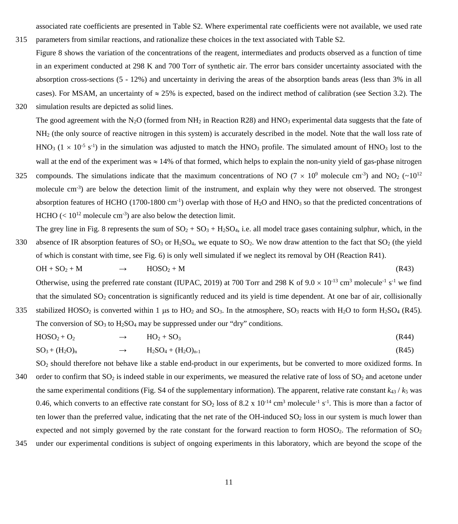associated rate coefficients are presented in Table S2. Where experimental rate coefficients were not available, we used rate

315 parameters from similar reactions, and rationalize these choices in the text associated with Table S2. Figure 8 shows the variation of the concentrations of the reagent, intermediates and products observed as a function of time in an experiment conducted at 298 K and 700 Torr of synthetic air. The error bars consider uncertainty associated with the absorption cross-sections (5 - 12%) and uncertainty in deriving the areas of the absorption bands areas (less than 3% in all cases). For MSAM, an uncertainty of  $\approx 25\%$  is expected, based on the indirect method of calibration (see Section 3.2). The

320 simulation results are depicted as solid lines.

- The good agreement with the N<sub>2</sub>O (formed from NH<sub>2</sub> in Reaction R28) and HNO<sub>3</sub> experimental data suggests that the fate of NH2 (the only source of reactive nitrogen in this system) is accurately described in the model. Note that the wall loss rate of  $HNO<sub>3</sub>$  (1  $\times$  10<sup>-5</sup> s<sup>-1</sup>) in the simulation was adjusted to match the HNO<sub>3</sub> profile. The simulated amount of HNO<sub>3</sub> lost to the wall at the end of the experiment was  $\approx 14\%$  of that formed, which helps to explain the non-unity yield of gas-phase nitrogen
- 325 compounds. The simulations indicate that the maximum concentrations of NO (7  $\times$  10<sup>9</sup> molecule cm<sup>-3</sup>) and NO<sub>2</sub> (~10<sup>12</sup>) molecule cm<sup>-3</sup>) are below the detection limit of the instrument, and explain why they were not observed. The strongest absorption features of HCHO (1700-1800 cm<sup>-1</sup>) overlap with those of  $H_2O$  and HNO<sub>3</sub> so that the predicted concentrations of HCHO ( $< 10^{12}$  molecule cm<sup>-3</sup>) are also below the detection limit.

The grey line in Fig. 8 represents the sum of  $SO_2 + SO_3 + H_2SO_4$ , i.e. all model trace gases containing sulphur, which, in the 330 absence of IR absorption features of  $SO_3$  or  $H_2SO_4$ , we equate to  $SO_2$ . We now draw attention to the fact that  $SO_2$  (the yield of which is constant with time, see Fig. 6) is only well simulated if we neglect its removal by OH (Reaction R41).

$$
OH + SO2 + M \longrightarrow HOSO2 + M \tag{R43}
$$

Otherwise, using the preferred rate constant (IUPAC, 2019) at 700 Torr and 298 K of  $9.0 \times 10^{-13}$  cm<sup>3</sup> molecule<sup>-1</sup> s<sup>-1</sup> we find that the simulated  $SO<sub>2</sub>$  concentration is significantly reduced and its yield is time dependent. At one bar of air, collisionally 335 stabilized HOSO<sub>2</sub> is converted within 1 µs to HO<sub>2</sub> and SO<sub>3</sub>. In the atmosphere, SO<sub>3</sub> reacts with H<sub>2</sub>O to form H<sub>2</sub>SO<sub>4</sub> (R45).

The conversion of  $SO_3$  to  $H_2SO_4$  may be suppressed under our "dry" conditions.

$$
HOSO_2 + O_2 \longrightarrow HO_2 + SO_3 \tag{R44}
$$

$$
SO_3 + (H_2O)_n \longrightarrow H_2SO_4 + (H_2O)_{n-1} \tag{R45}
$$

SO2 should therefore not behave like a stable end-product in our experiments, but be converted to more oxidized forms. In 340 order to confirm that  $SO_2$  is indeed stable in our experiments, we measured the relative rate of loss of  $SO_2$  and acetone under the same experimental conditions (Fig. S4 of the supplementary information). The apparent, relative rate constant  $k_{43}$  /  $k_5$  was 0.46, which converts to an effective rate constant for SO<sub>2</sub> loss of 8.2 x  $10^{-14}$  cm<sup>3</sup> molecule<sup>-1</sup> s<sup>-1</sup>. This is more than a factor of ten lower than the preferred value, indicating that the net rate of the OH-induced  $SO<sub>2</sub>$  loss in our system is much lower than expected and not simply governed by the rate constant for the forward reaction to form  $HOSO<sub>2</sub>$ . The reformation of  $SO<sub>2</sub>$ 

345 under our experimental conditions is subject of ongoing experiments in this laboratory, which are beyond the scope of the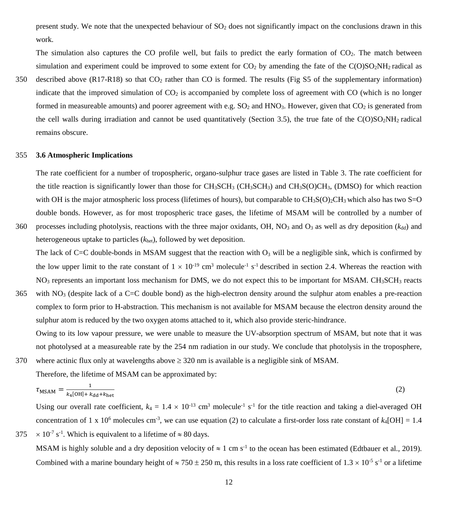present study. We note that the unexpected behaviour of  $SO<sub>2</sub>$  does not significantly impact on the conclusions drawn in this work.

The simulation also captures the CO profile well, but fails to predict the early formation of  $CO<sub>2</sub>$ . The match between simulation and experiment could be improved to some extent for  $CO<sub>2</sub>$  by amending the fate of the  $C(O)SO<sub>2</sub>NH<sub>2</sub>$  radical as

350 described above  $(R17-R18)$  so that  $CO<sub>2</sub>$  rather than CO is formed. The results (Fig S5 of the supplementary information) indicate that the improved simulation of  $CO<sub>2</sub>$  is accompanied by complete loss of agreement with  $CO$  (which is no longer formed in measureable amounts) and poorer agreement with e.g.  $SO_2$  and HNO<sub>3</sub>. However, given that  $CO_2$  is generated from the cell walls during irradiation and cannot be used quantitatively (Section 3.5), the true fate of the  $C(O)SO<sub>2</sub>NH<sub>2</sub>$  radical remains obscure.

## 355 **3.6 Atmospheric Implications**

The rate coefficient for a number of tropospheric, organo-sulphur trace gases are listed in Table 3. The rate coefficient for the title reaction is significantly lower than those for  $CH_3SCH_3$  (CH<sub>3</sub>SCH<sub>3</sub>) and CH<sub>3</sub>S(O)CH<sub>3</sub>, (DMSO) for which reaction with OH is the major atmospheric loss process (lifetimes of hours), but comparable to  $CH_3SO_2CH_3$  which also has two S=O double bonds. However, as for most tropospheric trace gases, the lifetime of MSAM will be controlled by a number of

360 processes including photolysis, reactions with the three major oxidants, OH, NO<sub>3</sub> and O<sub>3</sub> as well as dry deposition ( $k_{dd}$ ) and heterogeneous uptake to particles (*k*het), followed by wet deposition.

The lack of C=C double-bonds in MSAM suggest that the reaction with  $O_3$  will be a negligible sink, which is confirmed by the low upper limit to the rate constant of  $1 \times 10^{-19}$  cm<sup>3</sup> molecule<sup>-1</sup> s<sup>-1</sup> described in section 2.4. Whereas the reaction with  $NO<sub>3</sub>$  represents an important loss mechanism for DMS, we do not expect this to be important for MSAM. CH $_{3}$  CH $_{3}$  reacts

 $365$  with NO<sub>3</sub> (despite lack of a C=C double bond) as the high-electron density around the sulphur atom enables a pre-reaction complex to form prior to H-abstraction. This mechanism is not available for MSAM because the electron density around the sulphur atom is reduced by the two oxygen atoms attached to it, which also provide steric-hindrance.

Owing to its low vapour pressure, we were unable to measure the UV-absorption spectrum of MSAM, but note that it was not photolysed at a measureable rate by the 254 nm radiation in our study. We conclude that photolysis in the troposphere, 370 where actinic flux only at wavelengths above  $\geq$  320 nm is available is a negligible sink of MSAM.

Therefore, the lifetime of MSAM can be approximated by:

$$
\tau_{\text{MSAM}} = \frac{1}{k_4 \text{[OH]} + k_{\text{dd}} + k_{\text{het}}}
$$
\n<sup>(2)</sup>

Using our overall rate coefficient,  $k_4 = 1.4 \times 10^{-13}$  cm<sup>3</sup> molecule<sup>-1</sup> s<sup>-1</sup> for the title reaction and taking a diel-averaged OH concentration of 1 x 10<sup>6</sup> molecules cm<sup>-3</sup>, we can use equation (2) to calculate a first-order loss rate constant of  $k_4[OH] = 1.4$  $375 \times 10^{-7}$  s<sup>-1</sup>. Which is equivalent to a lifetime of  $\approx 80$  days.

MSAM is highly soluble and a dry deposition velocity of  $\approx 1 \text{ cm s}^{-1}$  to the ocean has been estimated (Edtbauer et al., 2019). Combined with a marine boundary height of  $\approx 750 \pm 250$  m, this results in a loss rate coefficient of  $1.3 \times 10^{-5}$  s<sup>-1</sup> or a lifetime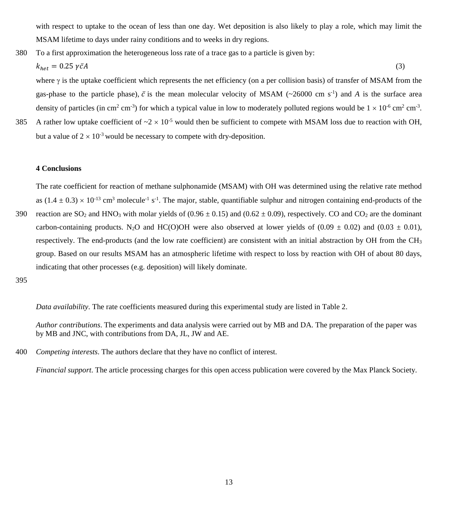with respect to uptake to the ocean of less than one day. Wet deposition is also likely to play a role, which may limit the MSAM lifetime to days under rainy conditions and to weeks in dry regions.

380 To a first approximation the heterogeneous loss rate of a trace gas to a particle is given by:

$$
k_{het} = 0.25 \,\gamma \bar{c}A \tag{3}
$$

where γ is the uptake coefficient which represents the net efficiency (on a per collision basis) of transfer of MSAM from the gas-phase to the particle phase),  $\bar{c}$  is the mean molecular velocity of MSAM ( $\sim$ 26000 cm s<sup>-1</sup>) and *A* is the surface area density of particles (in cm<sup>2</sup> cm<sup>-3</sup>) for which a typical value in low to moderately polluted regions would be  $1 \times 10^{-6}$  cm<sup>2</sup> cm<sup>-3</sup>.

385 A rather low uptake coefficient of  $\approx 2 \times 10^{-5}$  would then be sufficient to compete with MSAM loss due to reaction with OH. but a value of  $2 \times 10^{-3}$  would be necessary to compete with dry-deposition.

## **4 Conclusions**

The rate coefficient for reaction of methane sulphonamide (MSAM) with OH was determined using the relative rate method as  $(1.4 \pm 0.3) \times 10^{-13}$  cm<sup>3</sup> molecule<sup>-1</sup> s<sup>-1</sup>. The major, stable, quantifiable sulphur and nitrogen containing end-products of the 390 reaction are SO<sub>2</sub> and HNO<sub>3</sub> with molar yields of  $(0.96 \pm 0.15)$  and  $(0.62 \pm 0.09)$ , respectively. CO and CO<sub>2</sub> are the dominant carbon-containing products. N<sub>2</sub>O and HC(O)OH were also observed at lower yields of (0.09  $\pm$  0.02) and (0.03  $\pm$  0.01),

respectively. The end-products (and the low rate coefficient) are consistent with an initial abstraction by OH from the  $CH_3$ group. Based on our results MSAM has an atmospheric lifetime with respect to loss by reaction with OH of about 80 days, indicating that other processes (e.g. deposition) will likely dominate.

395

*Data availability*. The rate coefficients measured during this experimental study are listed in Table 2.

*Author contributions*. The experiments and data analysis were carried out by MB and DA. The preparation of the paper was by MB and JNC, with contributions from DA, JL, JW and AE.

400 *Competing interests*. The authors declare that they have no conflict of interest.

*Financial support*. The article processing charges for this open access publication were covered by the Max Planck Society.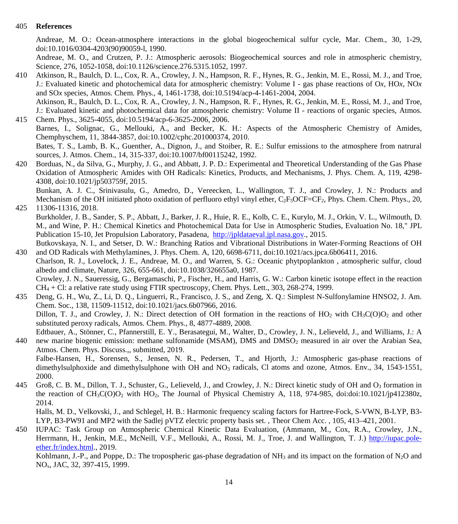# 405 **References**

Andreae, M. O.: Ocean-atmosphere interactions in the global biogeochemical sulfur cycle, Mar. Chem., 30, 1-29, doi:10.1016/0304-4203(90)90059-l, 1990.

Andreae, M. O., and Crutzen, P. J.: Atmospheric aerosols: Biogeochemical sources and role in atmospheric chemistry, Science, 276, 1052-1058, doi:10.1126/science.276.5315.1052, 1997.

410 Atkinson, R., Baulch, D. L., Cox, R. A., Crowley, J. N., Hampson, R. F., Hynes, R. G., Jenkin, M. E., Rossi, M. J., and Troe, J.: Evaluated kinetic and photochemical data for atmospheric chemistry: Volume I - gas phase reactions of O*x*, HO*x*, NO*x* and SO*x* species, Atmos. Chem. Phys., 4, 1461-1738, doi:10.5194/acp-4-1461-2004, 2004. Atkinson, R., Baulch, D. L., Cox, R. A., Crowley, J. N., Hampson, R. F., Hynes, R. G., Jenkin, M. E., Rossi, M. J., and Troe,

J.: Evaluated kinetic and photochemical data for atmospheric chemistry: Volume II - reactions of organic species, Atmos. 415 Chem. Phys., 3625-4055, doi:10.5194/acp-6-3625-2006, 2006.

Barnes, I., Solignac, G., Mellouki, A., and Becker, K. H.: Aspects of the Atmospheric Chemistry of Amides, Chemphyschem, 11, 3844-3857, doi:10.1002/cphc.201000374, 2010.

Bates, T. S., Lamb, B. K., Guenther, A., Dignon, J., and Stoiber, R. E.: Sulfur emissions to the atmosphere from natrural sources, J. Atmos. Chem., 14, 315-337, doi:10.1007/bf00115242, 1992.

420 Borduas, N., da Silva, G., Murphy, J. G., and Abbatt, J. P. D.: Experimental and Theoretical Understanding of the Gas Phase Oxidation of Atmospheric Amides with OH Radicals: Kinetics, Products, and Mechanisms, J. Phys. Chem. A, 119, 4298- 4308, doi:10.1021/jp503759f, 2015.

Bunkan, A. J. C., Srinivasulu, G., Amedro, D., Vereecken, L., Wallington, T. J., and Crowley, J. N.: Products and Mechanism of the OH initiated photo oxidation of perfluoro ethyl vinyl ether,  $C_2F_5OCF=CF_2$ , Phys. Chem. Chem. Phys., 20, 425 11306-11316, 2018.

Burkholder, J. B., Sander, S. P., Abbatt, J., Barker, J. R., Huie, R. E., Kolb, C. E., Kurylo, M. J., Orkin, V. L., Wilmouth, D. M., and Wine, P. H.: Chemical Kinetics and Photochemical Data for Use in Atmospheric Studies, Evaluation No. 18," JPL Publication 15-10, Jet Propulsion Laboratory, Pasadena, [http://jpldataeval.jpl.nasa.gov.,](http://jpldataeval.jpl.nasa.gov/) 2015.

Butkovskaya, N. I., and Setser, D. W.: Branching Ratios and Vibrational Distributions in Water-Forming Reactions of OH 430 and OD Radicals with Methylamines, J. Phys. Chem. A, 120, 6698-6711, doi:10.1021/acs.jpca.6b06411, 2016.

Charlson, R. J., Lovelock, J. E., Andreae, M. O., and Warren, S. G.: Oceanic phytpoplankton , atmospheric sulfur, cloud albedo and climate, Nature, 326, 655-661, doi:10.1038/326655a0, 1987.

Crowley, J. N., Saueressig, G., Bergamaschi, P., Fischer, H., and Harris, G. W.: Carbon kinetic isotope effect in the reaction  $CH<sub>4</sub> + Cl$ : a relative rate study using FTIR spectroscopy, Chem. Phys. Lett., 303, 268-274, 1999.

435 Deng, G. H., Wu, Z., Li, D. Q., Linguerri, R., Francisco, J. S., and Zeng, X. Q.: Simplest N-Sulfonylamine HNSO2, J. Am. Chem. Soc., 138, 11509-11512, doi:10.1021/jacs.6b07966, 2016. Dillon, T. J., and Crowley, J. N.: Direct detection of OH formation in the reactions of  $HO_2$  with  $CH_3C(O)O_2$  and other substituted peroxy radicals, Atmos. Chem. Phys., 8, 4877-4889, 2008.

Edtbauer, A., Stönner, C., Pfannerstill, E. Y., Berasategui, M., Walter, D., Crowley, J. N., Lelieveld, J., and Williams, J.: A 440 new marine biogenic emission: methane sulfonamide (MSAM), DMS and DMSO<sub>2</sub> measured in air over the Arabian Sea, Atmos. Chem. Phys. Discuss.,, submitted, 2019.

Falbe-Hansen, H., Sorensen, S., Jensen, N. R., Pedersen, T., and Hjorth, J.: Atmospheric gas-phase reactions of dimethylsulphoxide and dimethylsulphone with OH and NO<sub>3</sub> radicals, Cl atoms and ozone, Atmos. Env., 34, 1543-1551, 2000.

445 Groß, C. B. M., Dillon, T. J., Schuster, G., Lelieveld, J., and Crowley, J. N.: Direct kinetic study of OH and O<sub>3</sub> formation in the reaction of  $CH_3C(O)O_2$  with  $HO_2$ , The Journal of Physical Chemistry A, 118, 974-985, doi:doi:10.1021/jp412380z, 2014.

Halls, M. D., Velkovski, J., and Schlegel, H. B.: Harmonic frequency scaling factors for Hartree-Fock, S-VWN, B-LYP, B3- LYP, B3-PW91 and MP2 with the Sadlej pVTZ electric property basis set. , Theor Chem Acc. , 105, 413–421, 2001.

450 IUPAC: Task Group on Atmospheric Chemical Kinetic Data Evaluation, (Ammann, M., Cox, R.A., Crowley, J.N., Herrmann, H., Jenkin, M.E., McNeill, V.F., Mellouki, A., Rossi, M. J., Troe, J. and Wallington, T. J.) [http://iupac.pole](http://iupac.pole-ether.fr/index.html)[ether.fr/index.html.](http://iupac.pole-ether.fr/index.html), 2019.

Kohlmann, J.-P., and Poppe, D.: The tropospheric gas-phase degradation of NH<sub>3</sub> and its impact on the formation of N<sub>2</sub>O and NOx, JAC, 32, 397-415, 1999.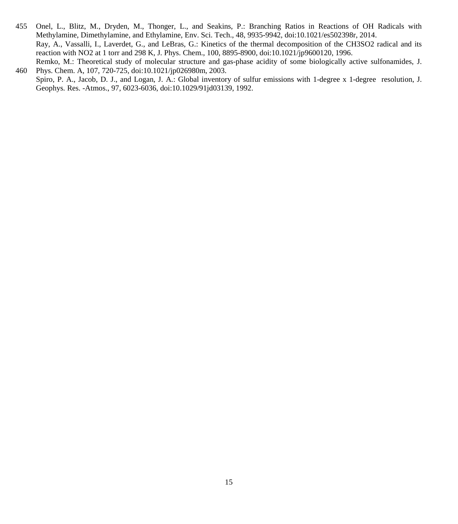- 455 Onel, L., Blitz, M., Dryden, M., Thonger, L., and Seakins, P.: Branching Ratios in Reactions of OH Radicals with Methylamine, Dimethylamine, and Ethylamine, Env. Sci. Tech., 48, 9935-9942, doi:10.1021/es502398r, 2014. Ray, A., Vassalli, I., Laverdet, G., and LeBras, G.: Kinetics of the thermal decomposition of the CH3SO2 radical and its reaction with NO2 at 1 torr and 298 K, J. Phys. Chem., 100, 8895-8900, doi:10.1021/jp9600120, 1996. Remko, M.: Theoretical study of molecular structure and gas-phase acidity of some biologically active sulfonamides, J.
- 460 Phys. Chem. A, 107, 720-725, doi:10.1021/jp026980m, 2003. Spiro, P. A., Jacob, D. J., and Logan, J. A.: Global inventory of sulfur emissions with 1-degree x 1-degree resolution, J. Geophys. Res. -Atmos., 97, 6023-6036, doi:10.1029/91jd03139, 1992.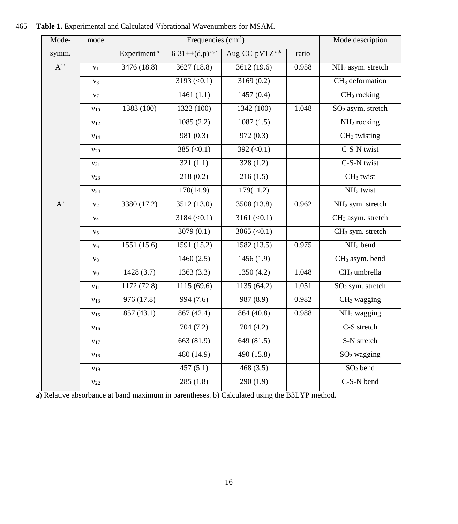| Mode-            | mode            |                         | Mode description         |                            |       |                               |
|------------------|-----------------|-------------------------|--------------------------|----------------------------|-------|-------------------------------|
| symm.            |                 | Experiment <sup>a</sup> | $6-31++(d,p)^{a,b}$      | Aug-CC-pVTZ <sup>a,b</sup> | ratio |                               |
| $A$ <sup>"</sup> | v <sub>1</sub>  | 3476 (18.8)             | 3627 (18.8)              | 3612 (19.6)                | 0.958 | NH <sub>2</sub> asym. stretch |
|                  | $v_3$           |                         | $\overline{3193}$ (<0.1) | 3169(0.2)                  |       | $CH3$ deformation             |
|                  | $v_7$           |                         | 1461(1.1)                | 1457(0.4)                  |       | $CH3$ rocking                 |
|                  | $v_{10}$        | 1383 (100)              | 1322 (100)               | 1342 (100)                 | 1.048 | SO <sub>2</sub> asym. stretch |
|                  | $v_{12}$        |                         | 1085(2.2)                | 1087(1.5)                  |       | NH <sub>2</sub> rocking       |
|                  | $v_{14}$        |                         | 981(0.3)                 | 972(0.3)                   |       | $CH3$ twisting                |
|                  | $v_{20}$        |                         | 385 $(<0.1)$             | 392 $(< 0.1)$              |       | C-S-N twist                   |
|                  | $v_{21}$        |                         | 321(1.1)                 | 328(1.2)                   |       | C-S-N twist                   |
|                  | $v_{23}$        |                         | 218(0.2)                 | 216(1.5)                   |       | $CH3$ twist                   |
|                  | V <sub>24</sub> |                         | 170(14.9)                | 179(11.2)                  |       | NH <sub>2</sub> twist         |
| A'               | $v_2$           | 3380 (17.2)             | 3512(13.0)               | 3508(13.8)                 | 0.962 | NH <sub>2</sub> sym. stretch  |
|                  | $v_4$           |                         | $3184 (\le 0.1)$         | $3161 (\le 0.1)$           |       | CH <sub>3</sub> asym. stretch |
|                  | v <sub>5</sub>  |                         | 3079(0.1)                | 3065 (< $0.1$ )            |       | CH <sub>3</sub> sym. stretch  |
|                  | $v_6$           | 1551 (15.6)             | 1591(15.2)               | 1582(13.5)                 | 0.975 | NH <sub>2</sub> bend          |
|                  | $v_8$           |                         | 1460(2.5)                | 1456(1.9)                  |       | CH <sub>3</sub> asym. bend    |
|                  | $v_9$           | 1428 (3.7)              | $\overline{1}363(3.3)$   | 1350(4.2)                  | 1.048 | CH <sub>3</sub> umbrella      |
|                  | $v_{11}$        | 1172 (72.8)             | 1115(69.6)               | 1135(64.2)                 | 1.051 | SO <sub>2</sub> sym. stretch  |
|                  | $v_{13}$        | 976(17.8)               | 994(7.6)                 | 987(8.9)                   | 0.982 | $CH3$ wagging                 |
|                  | $v_{15}$        | 857 (43.1)              | 867(42.4)                | 864(40.8)                  | 0.988 | NH <sub>2</sub> wagging       |
|                  | $v_{16}$        |                         | 704(7.2)                 | 704(4.2)                   |       | C-S stretch                   |
|                  | $v_{17}$        |                         | 663 (81.9)               | 649 (81.5)                 |       | S-N stretch                   |
|                  | $v_{18}$        |                         | 480 (14.9)               | 490 (15.8)                 |       | $SO2$ wagging                 |
|                  | $v_{19}$        |                         | 457(5.1)                 | 468(3.5)                   |       | $SO2$ bend                    |
|                  | $v_{22}$        |                         | 285(1.8)                 | 290(1.9)                   |       | C-S-N bend                    |

465 **Table 1.** Experimental and Calculated Vibrational Wavenumbers for MSAM.

a) Relative absorbance at band maximum in parentheses. b) Calculated using the B3LYP method.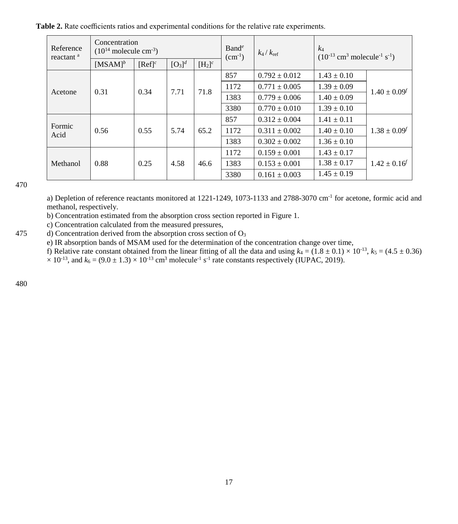**Table 2.** Rate coefficients ratios and experimental conditions for the relative rate experiments.

| Reference<br>reactant <sup>a</sup> | Concentration<br>$(10^{14} \text{ molecule cm}^{-3})$ |                      |           |                      | Band <sup>e</sup><br>$(cm-1)$ | $k_4/k_{\text{ref}}$ | $k_4$<br>$(10^{-13}$ cm <sup>3</sup> molecule <sup>-1</sup> s <sup>-1</sup> ) |                     |
|------------------------------------|-------------------------------------------------------|----------------------|-----------|----------------------|-------------------------------|----------------------|-------------------------------------------------------------------------------|---------------------|
|                                    | $[MSAM]$ <sup>b</sup>                                 | $[Ref]$ <sup>c</sup> | $[O_3]^d$ | $[H_2]$ <sup>c</sup> |                               |                      |                                                                               |                     |
| Acetone                            |                                                       | 0.34                 | 7.71      | 71.8                 | 857                           | $0.792 \pm 0.012$    | $1.43 \pm 0.10$                                                               | $1.40 \pm 0.09^f$   |
|                                    | 0.31                                                  |                      |           |                      | 1172                          | $0.771 \pm 0.005$    | $1.39 \pm 0.09$                                                               |                     |
|                                    |                                                       |                      |           |                      | 1383                          | $0.779 \pm 0.006$    | $1.40 \pm 0.09$                                                               |                     |
|                                    |                                                       |                      |           |                      | 3380                          | $0.770 \pm 0.010$    | $1.39 \pm 0.10$                                                               |                     |
|                                    |                                                       |                      |           |                      | 857                           | $0.312 \pm 0.004$    | $1.41 \pm 0.11$                                                               |                     |
| Formic<br>Acid                     | 0.56                                                  | 0.55                 | 5.74      | 65.2                 | 1172                          | $0.311 \pm 0.002$    | $1.40 \pm 0.10$                                                               | $1.38 \pm 0.09^{f}$ |
|                                    |                                                       |                      |           |                      | 1383                          | $0.302 \pm 0.002$    | $1.36 \pm 0.10$                                                               |                     |
|                                    |                                                       |                      |           |                      | 1172                          | $0.159 \pm 0.001$    | $1.43 \pm 0.17$                                                               |                     |
| Methanol                           | 0.88                                                  | 0.25                 | 4.58      | 46.6                 | 1383                          | $0.153 \pm 0.001$    | $1.38 \pm 0.17$                                                               | $1.42 \pm 0.16'$    |
|                                    |                                                       |                      |           |                      | 3380                          | $0.161 \pm 0.003$    | $1.45 \pm 0.19$                                                               |                     |

a) Depletion of reference reactants monitored at 1221-1249, 1073-1133 and 2788-3070 cm-1 for acetone, formic acid and methanol, respectively.

b) Concentration estimated from the absorption cross section reported in Figure 1.

c) Concentration calculated from the measured pressures,

475 d) Concentration derived from the absorption cross section of  $O<sub>3</sub>$ 

e) IR absorption bands of MSAM used for the determination of the concentration change over time,

f) Relative rate constant obtained from the linear fitting of all the data and using  $k_4 = (1.8 \pm 0.1) \times 10^{-13}$ ,  $k_5 = (4.5 \pm 0.36)$  $\times$  10<sup>-13</sup>, and  $k_6$  = (9.0  $\pm$  1.3)  $\times$  10<sup>-13</sup> cm<sup>3</sup> molecule<sup>-1</sup> s<sup>-1</sup> rate constants respectively (IUPAC, 2019).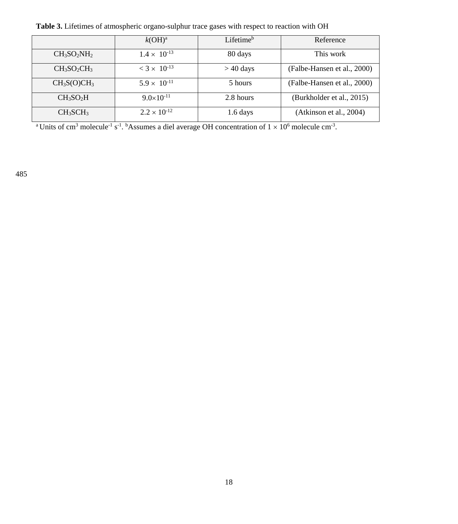**Table 3.** Lifetimes of atmospheric organo-sulphur trace gases with respect to reaction with OH

|                                     | k(OH) <sup>a</sup>               | Lifetime <sup>b</sup> | Reference                   |
|-------------------------------------|----------------------------------|-----------------------|-----------------------------|
| $CH3SO2NH2$                         | $1.4 \times 10^{-13}$            | 80 days               | This work                   |
| $CH_3SO_2CH_3$                      | $<$ 3 $\times$ 10 <sup>-13</sup> | $>$ 40 days           | (Falbe-Hansen et al., 2000) |
| CH <sub>3</sub> S(O)CH <sub>3</sub> | $5.9 \times 10^{-11}$            | 5 hours               | (Falbe-Hansen et al., 2000) |
| $CH_3SO_2H$                         | $9.0\times10^{-11}$              | 2.8 hours             | (Burkholder et al., 2015)   |
| $CH_3SCH_3$                         | $2.2 \times 10^{-12}$            | $1.6$ days            | (Atkinson et al., 2004)     |

<sup>a</sup> Units of cm<sup>3</sup> molecule<sup>-1</sup> s<sup>-1</sup>. <sup>b</sup>Assumes a diel average OH concentration of  $1 \times 10^6$  molecule cm<sup>-3</sup>.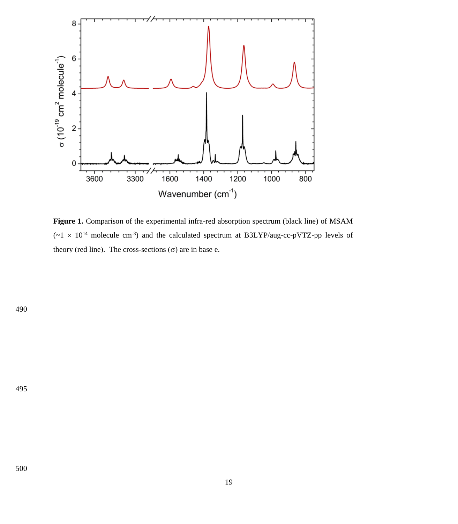

Figure 1. Comparison of the experimental infra-red absorption spectrum (black line) of MSAM  $(\sim 1 \times 10^{14}$  molecule cm<sup>-3</sup>) and the calculated spectrum at B3LYP/aug-cc-pVTZ-pp levels of theory (red line). The cross-sections  $(\sigma)$  are in base e.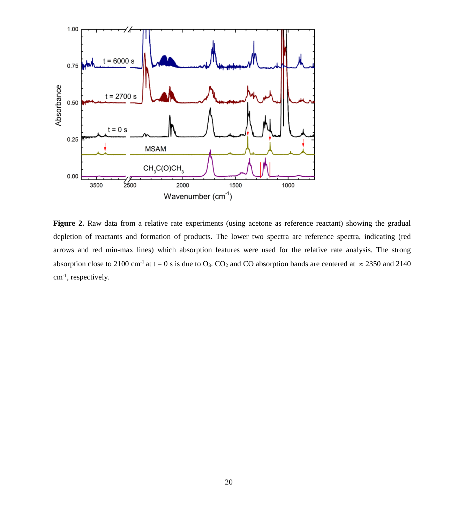

**Figure 2.** Raw data from a relative rate experiments (using acetone as reference reactant) showing the gradual depletion of reactants and formation of products. The lower two spectra are reference spectra, indicating (red arrows and red min-max lines) which absorption features were used for the relative rate analysis. The strong absorption close to 2100 cm<sup>-1</sup> at t = 0 s is due to O<sub>3</sub>. CO<sub>2</sub> and CO absorption bands are centered at  $\approx$  2350 and 2140 cm-1 , respectively.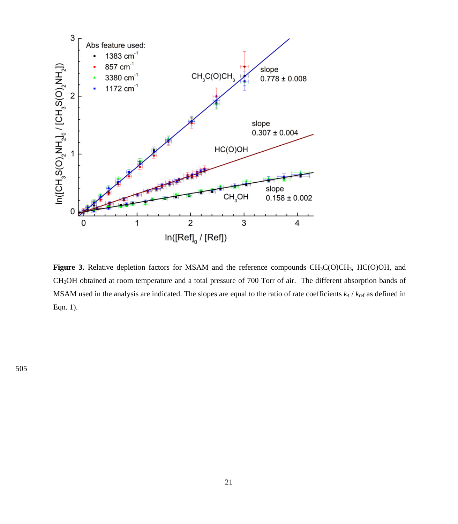

**Figure 3.** Relative depletion factors for MSAM and the reference compounds CH<sub>3</sub>C(O)CH<sub>3</sub>, HC(O)OH, and CH3OH obtained at room temperature and a total pressure of 700 Torr of air. The different absorption bands of MSAM used in the analysis are indicated. The slopes are equal to the ratio of rate coefficients *k*<sup>4</sup> / *k*ref as defined in Eqn. 1).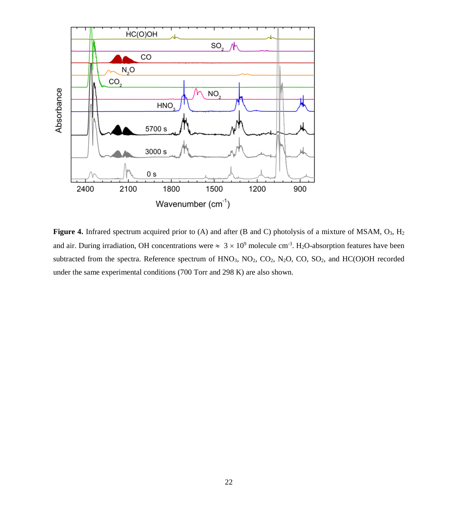

Figure 4. Infrared spectrum acquired prior to (A) and after (B and C) photolysis of a mixture of MSAM, O<sub>3</sub>, H<sub>2</sub> and air. During irradiation, OH concentrations were  $\approx 3 \times 10^9$  molecule cm<sup>-3</sup>. H<sub>2</sub>O-absorption features have been subtracted from the spectra. Reference spectrum of  $HNO<sub>3</sub>$ ,  $NO<sub>2</sub>$ ,  $CO<sub>2</sub>$ ,  $N<sub>2</sub>O$ ,  $CO$ ,  $SO<sub>2</sub>$ , and  $HC(O)OH$  recorded under the same experimental conditions (700 Torr and 298 K) are also shown.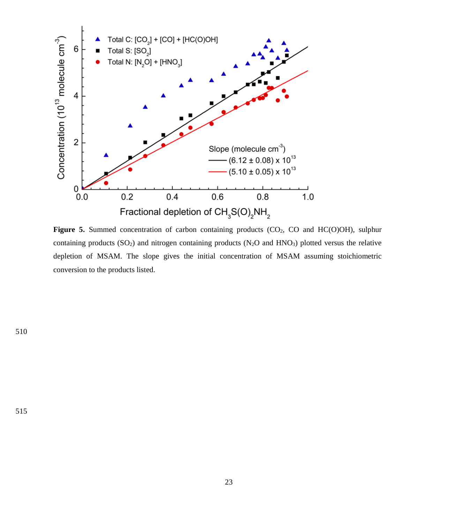

Figure 5. Summed concentration of carbon containing products (CO<sub>2</sub>, CO and HC(O)OH), sulphur containing products  $(SO_2)$  and nitrogen containing products  $(N_2O$  and  $HNO_3)$  plotted versus the relative depletion of MSAM. The slope gives the initial concentration of MSAM assuming stoichiometric conversion to the products listed.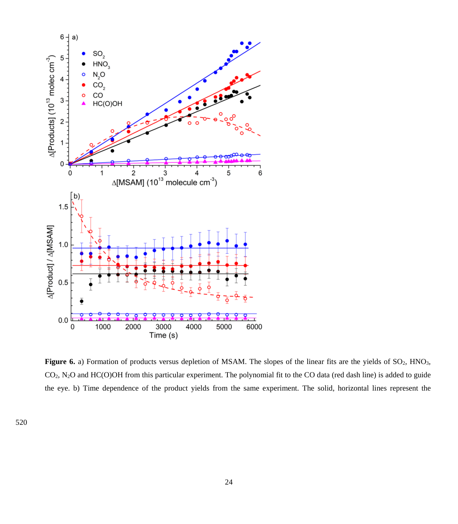

Figure 6. a) Formation of products versus depletion of MSAM. The slopes of the linear fits are the yields of SO<sub>2</sub>, HNO<sub>3</sub>, CO2, N2O and HC(O)OH from this particular experiment. The polynomial fit to the CO data (red dash line) is added to guide the eye. b) Time dependence of the product yields from the same experiment. The solid, horizontal lines represent the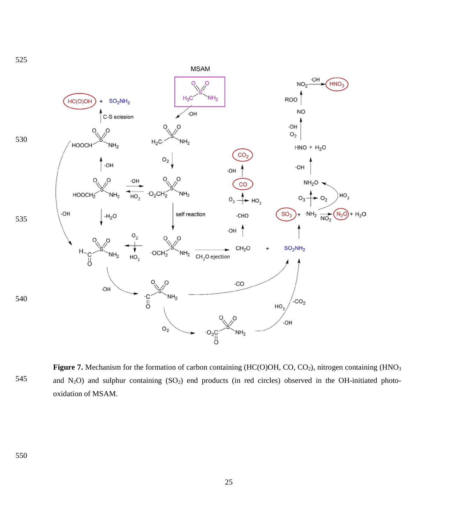

Figure 7. Mechanism for the formation of carbon containing (HC(O)OH, CO, CO<sub>2</sub>), nitrogen containing (HNO<sub>3</sub>) and  $N_2O$ ) and sulphur containing  $(SO_2)$  end products (in red circles) observed in the OH-initiated photooxidation of MSAM.